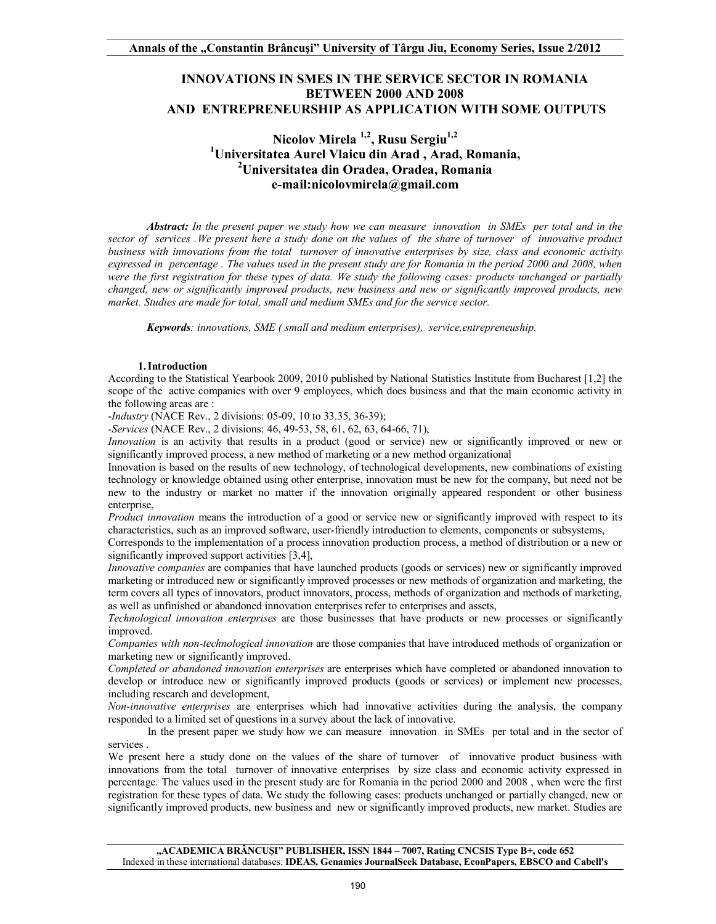## **INNOVATIONS IN SMES IN THE SERVICE SECTOR IN ROMANIA BETWEEN 2000 AND 2008 AND ENTREPRENEURSHIP AS APPLICATION WITH SOME OUTPUTS**

# Nicolov Mirela<sup>1,2</sup>, Rusu Sergiu<sup>1,2</sup> **1 Universitatea Aurel Vlaicu din Arad , Arad, Romania, 2 Universitatea din Oradea, Oradea, Romania e-mail:nicolovmirela@gmail.com**

*Abstract: In the present paper we study how we can measure innovation in SMEs per total and in the sector of services .We present here a study done on the values of the share of turnover of innovative product business with innovations from the total turnover of innovative enterprises by size, class and economic activity expressed in percentage . The values used in the present study are for Romania in the period 2000 and 2008, when were the first registration for these types of data. We study the following cases: products unchanged or partially changed, new or significantly improved products, new business and new or significantly improved products, new market. Studies are made for total, small and medium SMEs and for the service sector.*

*Keywords: innovations, SME ( small and medium enterprises), service,entrepreneuship.*

### **1. Introduction**

According to the Statistical Yearbook 2009, 2010 published by National Statistics Institute from Bucharest [1,2] the scope of the active companies with over 9 employees, which does business and that the main economic activity in the following areas are :

-*Industry* (NACE Rev., 2 divisions: 05-09, 10 to 33.35, 36-39);

*-Services* (NACE Rev., 2 divisions: 46, 49-53, 58, 61, 62, 63, 64-66, 71),

*Innovation* is an activity that results in a product (good or service) new or significantly improved or new or significantly improved process, a new method of marketing or a new method organizational

Innovation is based on the results of new technology, of technological developments, new combinations of existing technology or knowledge obtained using other enterprise, innovation must be new for the company, but need not be new to the industry or market no matter if the innovation originally appeared respondent or other business enterprise,

*Product innovation* means the introduction of a good or service new or significantly improved with respect to its characteristics, such as an improved software, user-friendly introduction to elements, components or subsystems,

Corresponds to the implementation of a process innovation production process, a method of distribution or a new or significantly improved support activities [3,4],

*Innovative companies* are companies that have launched products (goods or services) new or significantly improved marketing or introduced new or significantly improved processes or new methods of organization and marketing, the term covers all types of innovators, product innovators, process, methods of organization and methods of marketing, as well as unfinished or abandoned innovation enterprises refer to enterprises and assets,

*Technological innovation enterprises* are those businesses that have products or new processes or significantly improved.

*Companies with non-technological innovation* are those companies that have introduced methods of organization or marketing new or significantly improved.

*Completed or abandoned innovation enterprises* are enterprises which have completed or abandoned innovation to develop or introduce new or significantly improved products (goods or services) or implement new processes, including research and development,

*Non-innovative enterprises* are enterprises which had innovative activities during the analysis, the company responded to a limited set of questions in a survey about the lack of innovative.

In the present paper we study how we can measure innovation in SMEs per total and in the sector of services .

We present here a study done on the values of the share of turnover of innovative product business with innovations from the total turnover of innovative enterprises by size class and economic activity expressed in percentage. The values used in the present study are for Romania in the period 2000 and 2008 , when were the first registration for these types of data. We study the following cases: products unchanged or partially changed, new or significantly improved products, new business and new or significantly improved products, new market. Studies are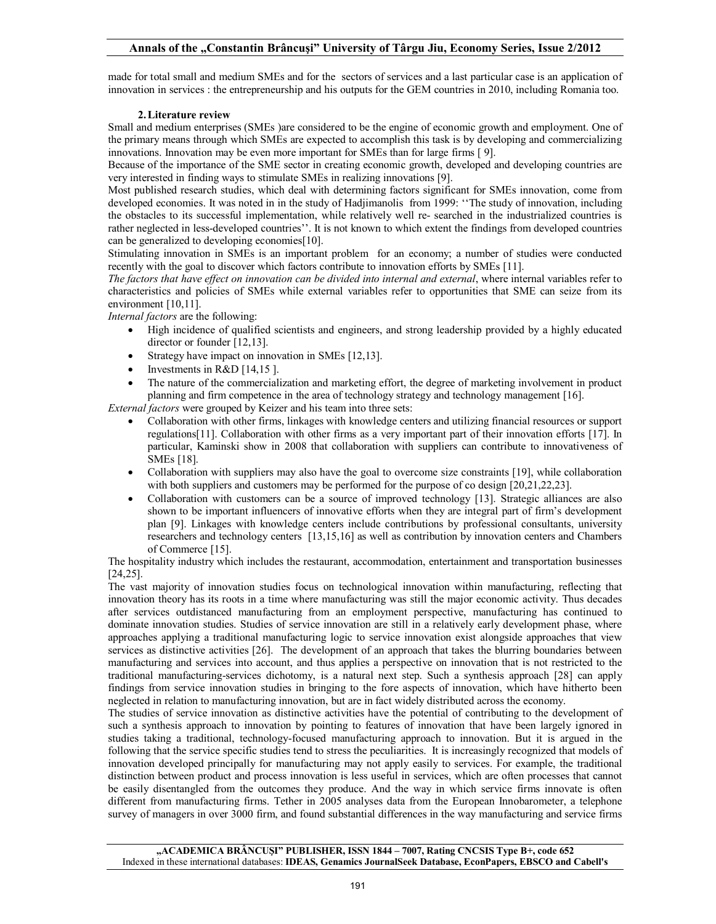## **Annals of the "Constantin Brâncuşi" University of Târgu Jiu, Economy Series, Issue 2/2012**

made for total small and medium SMEs and for the sectors of services and a last particular case is an application of innovation in services : the entrepreneurship and his outputs for the GEM countries in 2010, including Romania too.

## **2. Literature review**

Small and medium enterprises (SMEs )are considered to be the engine of economic growth and employment. One of the primary means through which SMEs are expected to accomplish this task is by developing and commercializing innovations. Innovation may be even more important for SMEs than for large firms [ 9].

Because of the importance of the SME sector in creating economic growth, developed and developing countries are very interested in finding ways to stimulate SMEs in realizing innovations [9].

Most published research studies, which deal with determining factors significant for SMEs innovation, come from developed economies. It was noted in in the study of Hadjimanolis from 1999: ''The study of innovation, including the obstacles to its successful implementation, while relatively well re- searched in the industrialized countries is rather neglected in less-developed countries''. It is not known to which extent the findings from developed countries can be generalized to developing economies[10].

Stimulating innovation in SMEs is an important problem for an economy; a number of studies were conducted recently with the goal to discover which factors contribute to innovation efforts by SMEs [11].

*The factors that have effect on innovation can be divided into internal and external*, where internal variables refer to characteristics and policies of SMEs while external variables refer to opportunities that SME can seize from its environment [10,11].

*Internal factors* are the following:

- · High incidence of qualified scientists and engineers, and strong leadership provided by a highly educated director or founder [12,13].
- Strategy have impact on innovation in SMEs [12,13].
- Investments in  $R&D$  [14,15].
- · The nature of the commercialization and marketing effort, the degree of marketing involvement in product planning and firm competence in the area of technology strategy and technology management [16].

*External factors* were grouped by Keizer and his team into three sets:

- · Collaboration with other firms, linkages with knowledge centers and utilizing financial resources or support regulations[11]. Collaboration with other firms as a very important part of their innovation efforts [17]. In particular, Kaminski show in 2008 that collaboration with suppliers can contribute to innovativeness of SMEs [18].
- Collaboration with suppliers may also have the goal to overcome size constraints [19], while collaboration with both suppliers and customers may be performed for the purpose of co design [20,21,22,23].
- Collaboration with customers can be a source of improved technology [13]. Strategic alliances are also shown to be important influencers of innovative efforts when they are integral part of firm's development plan [9]. Linkages with knowledge centers include contributions by professional consultants, university researchers and technology centers [13,15,16] as well as contribution by innovation centers and Chambers of Commerce [15].

The hospitality industry which includes the restaurant, accommodation, entertainment and transportation businesses [24,25].

The vast majority of innovation studies focus on technological innovation within manufacturing, reflecting that innovation theory has its roots in a time where manufacturing was still the major economic activity. Thus decades after services outdistanced manufacturing from an employment perspective, manufacturing has continued to dominate innovation studies. Studies of service innovation are still in a relatively early development phase, where approaches applying a traditional manufacturing logic to service innovation exist alongside approaches that view services as distinctive activities [26]. The development of an approach that takes the blurring boundaries between manufacturing and services into account, and thus applies a perspective on innovation that is not restricted to the traditional manufacturing-services dichotomy, is a natural next step. Such a synthesis approach [28] can apply findings from service innovation studies in bringing to the fore aspects of innovation, which have hitherto been neglected in relation to manufacturing innovation, but are in fact widely distributed across the economy.

The studies of service innovation as distinctive activities have the potential of contributing to the development of such a synthesis approach to innovation by pointing to features of innovation that have been largely ignored in studies taking a traditional, technology-focused manufacturing approach to innovation. But it is argued in the following that the service specific studies tend to stress the peculiarities. It is increasingly recognized that models of innovation developed principally for manufacturing may not apply easily to services. For example, the traditional distinction between product and process innovation is less useful in services, which are often processes that cannot be easily disentangled from the outcomes they produce. And the way in which service firms innovate is often different from manufacturing firms. Tether in 2005 analyses data from the European Innobarometer, a telephone survey of managers in over 3000 firm, and found substantial differences in the way manufacturing and service firms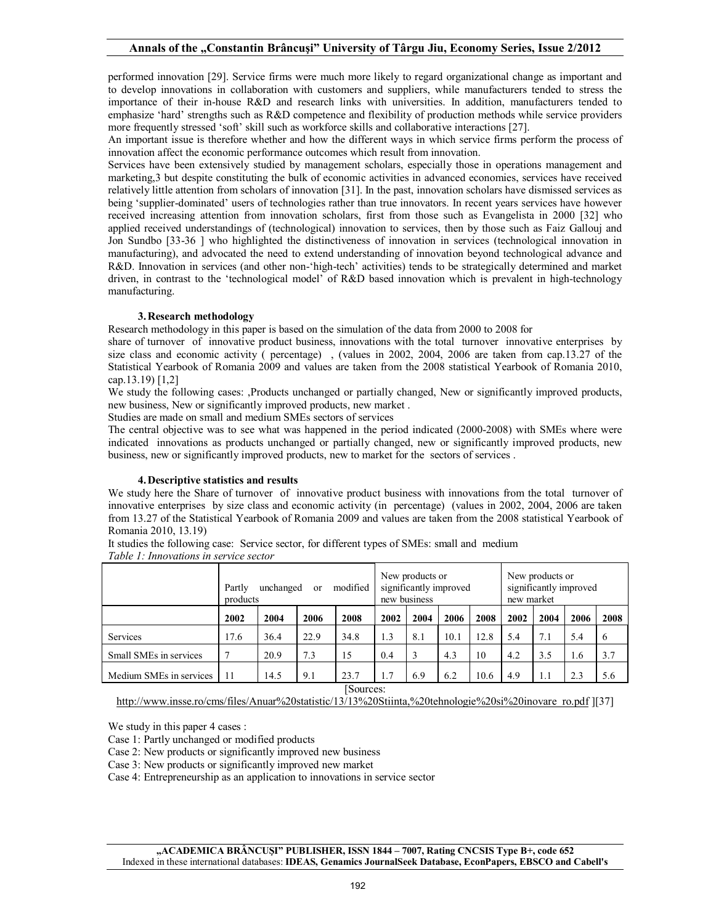performed innovation [29]. Service firms were much more likely to regard organizational change as important and to develop innovations in collaboration with customers and suppliers, while manufacturers tended to stress the importance of their in-house R&D and research links with universities. In addition, manufacturers tended to emphasize 'hard' strengths such as R&D competence and flexibility of production methods while service providers more frequently stressed 'soft' skill such as workforce skills and collaborative interactions [27].

An important issue is therefore whether and how the different ways in which service firms perform the process of innovation affect the economic performance outcomes which result from innovation.

Services have been extensively studied by management scholars, especially those in operations management and marketing,3 but despite constituting the bulk of economic activities in advanced economies, services have received relatively little attention from scholars of innovation [31]. In the past, innovation scholars have dismissed services as being 'supplier-dominated' users of technologies rather than true innovators. In recent years services have however received increasing attention from innovation scholars, first from those such as Evangelista in 2000 [32] who applied received understandings of (technological) innovation to services, then by those such as Faiz Gallouj and Jon Sundbo [33-36 ] who highlighted the distinctiveness of innovation in services (technological innovation in manufacturing), and advocated the need to extend understanding of innovation beyond technological advance and R&D. Innovation in services (and other non-'high-tech' activities) tends to be strategically determined and market driven, in contrast to the 'technological model' of R&D based innovation which is prevalent in high-technology manufacturing.

## **3. Research methodology**

Research methodology in this paper is based on the simulation of the data from 2000 to 2008 for

share of turnover of innovative product business, innovations with the total turnover innovative enterprises by size class and economic activity ( percentage) , (values in 2002, 2004, 2006 are taken from cap.13.27 of the Statistical Yearbook of Romania 2009 and values are taken from the 2008 statistical Yearbook of Romania 2010, cap.13.19) [1,2]

We study the following cases: ,Products unchanged or partially changed, New or significantly improved products, new business, New or significantly improved products, new market .

Studies are made on small and medium SMEs sectors of services

The central objective was to see what was happened in the period indicated (2000-2008) with SMEs where were indicated innovations as products unchanged or partially changed, new or significantly improved products, new business, new or significantly improved products, new to market for the sectors of services .

### **4. Descriptive statistics and results**

We study here the Share of turnover of innovative product business with innovations from the total turnover of innovative enterprises by size class and economic activity (in percentage) (values in 2002, 2004, 2006 are taken from 13.27 of the Statistical Yearbook of Romania 2009 and values are taken from the 2008 statistical Yearbook of Romania 2010, 13.19)

It studies the following case: Service sector, for different types of SMEs: small and medium *Table 1: Innovations in service sector* 

|                         | modified<br>unchanged<br>Partly<br>or<br>products |      |      | New products or<br>significantly improved<br>new business |      |      | New products or<br>significantly improved<br>new market |      |      |      |      |      |
|-------------------------|---------------------------------------------------|------|------|-----------------------------------------------------------|------|------|---------------------------------------------------------|------|------|------|------|------|
|                         | 2002                                              | 2004 | 2006 | 2008                                                      | 2002 | 2004 | 2006                                                    | 2008 | 2002 | 2004 | 2006 | 2008 |
| Services                | 17.6                                              | 36.4 | 22.9 | 34.8                                                      | 1.3  | 8.1  | 10.1                                                    | 12.8 | 5.4  | 7.1  | 5.4  | 6    |
| Small SMEs in services  |                                                   | 20.9 | 7.3  | 15                                                        | 0.4  | 3    | 4.3                                                     | 10   | 4.2  | 3.5  | 1.6  | 3.7  |
| Medium SMEs in services | 11                                                | 14.5 | 9.1  | 23.7<br><b>COLOR</b>                                      | 1.7  | 6.9  | 6.2                                                     | 10.6 | 4.9  | 1.1  | 2.3  | 5.6  |

[Sources:

http://www.insse.ro/cms/files/Anuar%20statistic/13/13%20Stiinta,%20tehnologie%20si%20inovare\_ro.pdf [[37]

We study in this paper 4 cases :

Case 1: Partly unchanged or modified products

Case 2: New products or significantly improved new business

Case 3: New products or significantly improved new market

Case 4: Entrepreneurship as an application to innovations in service sector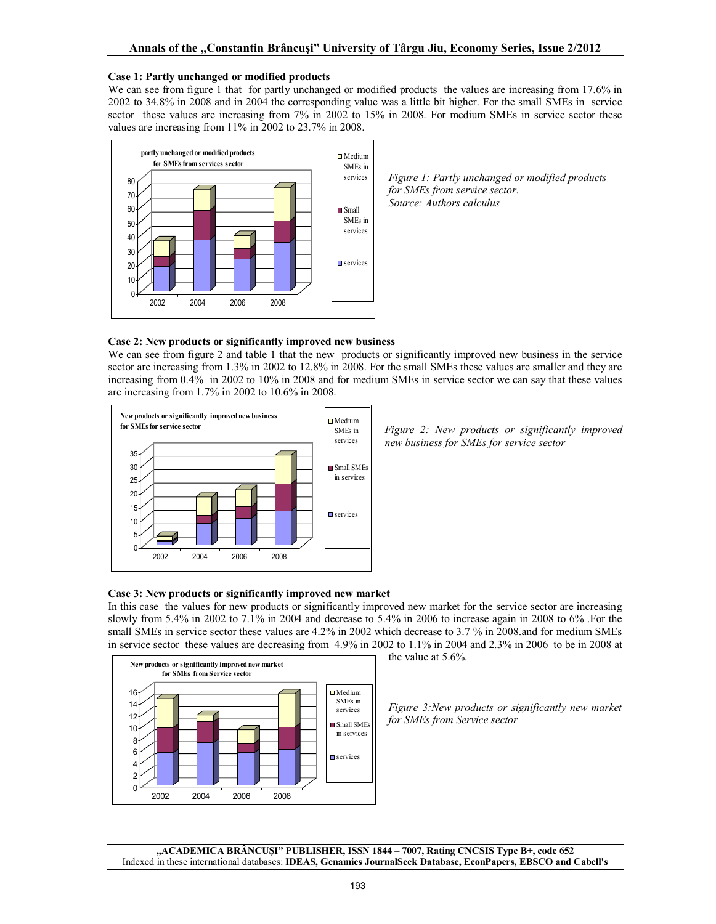## **Case 1: Partly unchanged or modified products**

We can see from figure 1 that for partly unchanged or modified products the values are increasing from 17.6% in 2002 to 34.8% in 2008 and in 2004 the corresponding value was a little bit higher. For the small SMEs in service sector these values are increasing from 7% in 2002 to 15% in 2008. For medium SMEs in service sector these values are increasing from 11% in 2002 to 23.7% in 2008.



## **Case 2: New products or significantly improved new business**

We can see from figure 2 and table 1 that the new products or significantly improved new business in the service sector are increasing from 1.3% in 2002 to 12.8% in 2008. For the small SMEs these values are smaller and they are increasing from 0.4% in 2002 to 10% in 2008 and for medium SMEs in service sector we can say that these values are increasing from 1.7% in 2002 to 10.6% in 2008.



*Figure 2: New products or significantly improved new business for SMEs for service sector*

## **Case 3: New products or significantly improved new market**

In this case the values for new products or significantly improved new market for the service sector are increasing slowly from 5.4% in 2002 to 7.1% in 2004 and decrease to 5.4% in 2006 to increase again in 2008 to 6% .For the small SMEs in service sector these values are 4.2% in 2002 which decrease to 3.7 % in 2008.and for medium SMEs in service sector these values are decreasing from 4.9% in 2002 to 1.1% in 2004 and 2.3% in 2006 to be in 2008 at



the value at 5.6%.

*Figure 3:New products or significantly new market for SMEs from Service sector*

**"ACADEMICA BRÂNCUŞI" PUBLISHER, ISSN 1844 – 7007, Rating CNCSIS Type B+, code 652** Indexed in these international databases: **IDEAS, Genamics JournalSeek Database, EconPapers, EBSCO and Cabell's**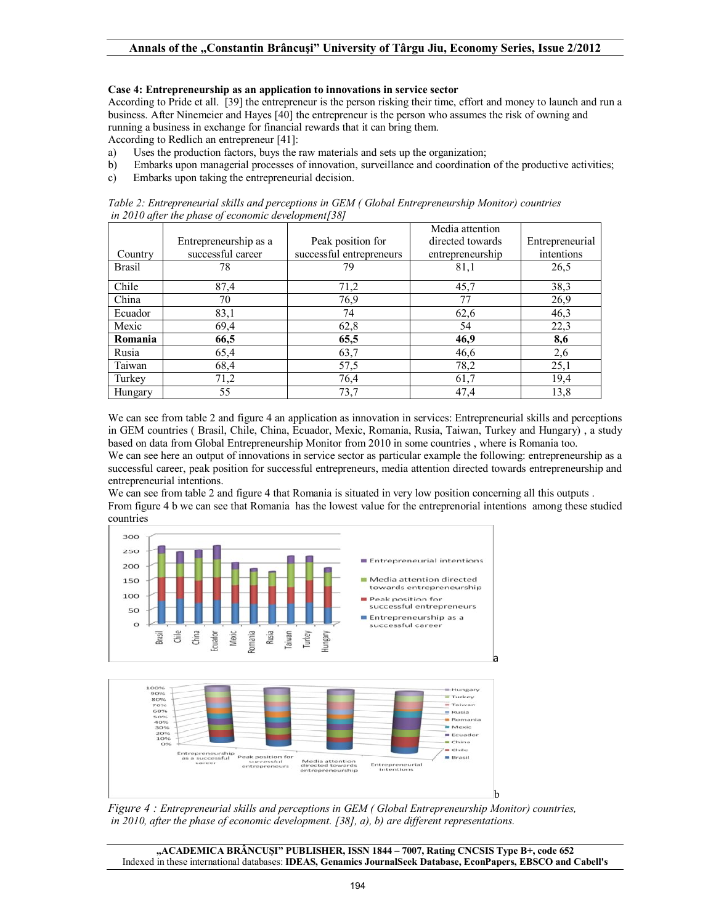## **Case 4: Entrepreneurship as an application to innovations in service sector**

According to Pride et all. [39] the entrepreneur is the person risking their time, effort and money to launch and run a business. After Ninemeier and Hayes [40] the entrepreneur is the person who assumes the risk of owning and running a business in exchange for financial rewards that it can bring them.

According to Redlich an entrepreneur [41]:

- a) Uses the production factors, buys the raw materials and sets up the organization;
- b) Embarks upon managerial processes of innovation, surveillance and coordination of the productive activities;
- c) Embarks upon taking the entrepreneurial decision.

|                                                      | Table 2: Entrepreneurial skills and perceptions in GEM (Global Entrepreneurship Monitor) countries |  |  |                 |  |  |  |
|------------------------------------------------------|----------------------------------------------------------------------------------------------------|--|--|-----------------|--|--|--|
| in 2010 after the phase of economic development [38] |                                                                                                    |  |  |                 |  |  |  |
|                                                      |                                                                                                    |  |  | Media attention |  |  |  |

|               |                       |                          | Media attention  |                 |
|---------------|-----------------------|--------------------------|------------------|-----------------|
|               | Entrepreneurship as a | Peak position for        | directed towards | Entrepreneurial |
| Country       | successful career     | successful entrepreneurs | entrepreneurship | intentions      |
| <b>Brasil</b> | 78                    | 79                       | 81,1             | 26,5            |
| Chile         | 87,4                  | 71,2                     | 45,7             | 38,3            |
| China         | 70                    | 76,9                     | 77               | 26,9            |
| Ecuador       | 83,1                  | 74                       | 62,6             | 46,3            |
| Mexic         | 69,4                  | 62,8                     | 54               | 22,3            |
| Romania       | 66,5                  | 65,5                     | 46,9             | 8,6             |
| Rusia         | 65,4                  | 63,7                     | 46,6             | 2,6             |
| Taiwan        | 68,4                  | 57,5                     | 78,2             | 25,1            |
| Turkey        | 71,2                  | 76,4                     | 61,7             | 19,4            |
| Hungary       | 55                    | 73,7                     | 47,4             | 13,8            |

We can see from table 2 and figure 4 an application as innovation in services: Entrepreneurial skills and perceptions in GEM countries ( Brasil, Chile, China, Ecuador, Mexic, Romania, Rusia, Taiwan, Turkey and Hungary) , a study based on data from Global Entrepreneurship Monitor from 2010 in some countries , where is Romania too.

We can see here an output of innovations in service sector as particular example the following: entrepreneurship as a successful career, peak position for successful entrepreneurs, media attention directed towards entrepreneurship and entrepreneurial intentions.

We can see from table 2 and figure 4 that Romania is situated in very low position concerning all this outputs. From figure 4 b we can see that Romania has the lowest value for the entreprenorial intentions among these studied countries



*Figure 4 : Entrepreneurial skills and perceptions in GEM ( Global Entrepreneurship Monitor) countries, in 2010, after the phase of economic development. [38], a), b) are different representations.*

**"ACADEMICA BRÂNCUŞI" PUBLISHER, ISSN 1844 – 7007, Rating CNCSIS Type B+, code 652** Indexed in these international databases: **IDEAS, Genamics JournalSeek Database, EconPapers, EBSCO and Cabell's**

b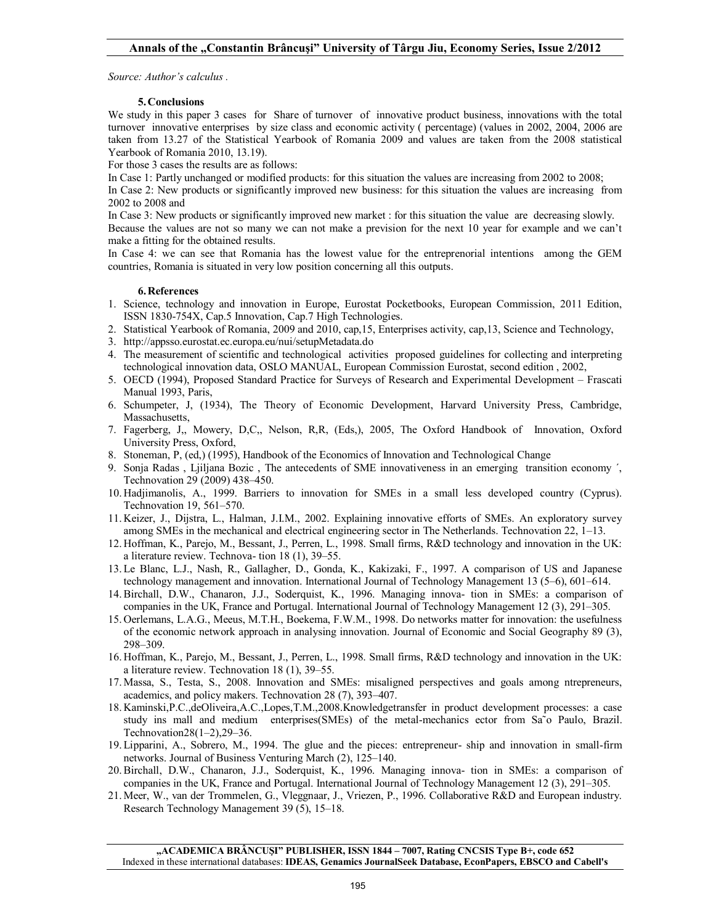## **Annals of the "Constantin Brâncuşi" University of Târgu Jiu, Economy Series, Issue 2/2012**

*Source: Author's calculus .*

## **5. Conclusions**

We study in this paper 3 cases for Share of turnover of innovative product business, innovations with the total turnover innovative enterprises by size class and economic activity ( percentage) (values in 2002, 2004, 2006 are taken from 13.27 of the Statistical Yearbook of Romania 2009 and values are taken from the 2008 statistical Yearbook of Romania 2010, 13.19).

For those 3 cases the results are as follows:

In Case 1: Partly unchanged or modified products: for this situation the values are increasing from 2002 to 2008;

In Case 2: New products or significantly improved new business: for this situation the values are increasing from 2002 to 2008 and

In Case 3: New products or significantly improved new market : for this situation the value are decreasing slowly.

Because the values are not so many we can not make a prevision for the next 10 year for example and we can't make a fitting for the obtained results.

In Case 4: we can see that Romania has the lowest value for the entreprenorial intentions among the GEM countries, Romania is situated in very low position concerning all this outputs.

#### **6. References**

- 1. Science, technology and innovation in Europe, Eurostat Pocketbooks, European Commission, 2011 Edition, ISSN 1830-754X, Cap.5 Innovation, Cap.7 High Technologies.
- 2. Statistical Yearbook of Romania, 2009 and 2010, cap,15, Enterprises activity, cap,13, Science and Technology,
- 3. http://appsso.eurostat.ec.europa.eu/nui/setupMetadata.do
- 4. The measurement of scientific and technological activities proposed guidelines for collecting and interpreting technological innovation data, OSLO MANUAL, European Commission Eurostat, second edition , 2002,
- 5. OECD (1994), Proposed Standard Practice for Surveys of Research and Experimental Development Frascati Manual 1993, Paris,
- 6. Schumpeter, J, (1934), The Theory of Economic Development, Harvard University Press, Cambridge, Massachusetts,
- 7. Fagerberg, J,, Mowery, D,C,, Nelson, R,R, (Eds,), 2005, The Oxford Handbook of Innovation, Oxford University Press, Oxford,
- 8. Stoneman, P, (ed,) (1995), Handbook of the Economics of Innovation and Technological Change
- 9. Sonja Radas , Ljiljana Bozic , The antecedents of SME innovativeness in an emerging transition economy ´, Technovation 29 (2009) 438–450.
- 10. Hadjimanolis, A., 1999. Barriers to innovation for SMEs in a small less developed country (Cyprus). Technovation 19, 561–570.
- 11. Keizer, J., Dijstra, L., Halman, J.I.M., 2002. Explaining innovative efforts of SMEs. An exploratory survey among SMEs in the mechanical and electrical engineering sector in The Netherlands. Technovation 22, 1–13.
- 12. Hoffman, K., Parejo, M., Bessant, J., Perren, L., 1998. Small firms, R&D technology and innovation in the UK: a literature review. Technova- tion 18 (1), 39–55.
- 13. Le Blanc, L.J., Nash, R., Gallagher, D., Gonda, K., Kakizaki, F., 1997. A comparison of US and Japanese technology management and innovation. International Journal of Technology Management 13 (5–6), 601–614.
- 14. Birchall, D.W., Chanaron, J.J., Soderquist, K., 1996. Managing innova- tion in SMEs: a comparison of companies in the UK, France and Portugal. International Journal of Technology Management 12 (3), 291–305.
- 15. Oerlemans, L.A.G., Meeus, M.T.H., Boekema, F.W.M., 1998. Do networks matter for innovation: the usefulness of the economic network approach in analysing innovation. Journal of Economic and Social Geography 89 (3), 298–309.
- 16. Hoffman, K., Parejo, M., Bessant, J., Perren, L., 1998. Small firms, R&D technology and innovation in the UK: a literature review. Technovation 18 (1), 39–55.
- 17. Massa, S., Testa, S., 2008. Innovation and SMEs: misaligned perspectives and goals among ntrepreneurs, academics, and policy makers. Technovation 28 (7), 393–407.
- 18. Kaminski,P.C.,deOliveira,A.C.,Lopes,T.M.,2008.Knowledgetransfer in product development processes: a case study ins mall and medium enterprises(SMEs) of the metal-mechanics ector from Sa˜o Paulo, Brazil. Technovation28(1–2),29–36.
- 19. Lipparini, A., Sobrero, M., 1994. The glue and the pieces: entrepreneur- ship and innovation in small-firm networks. Journal of Business Venturing March (2), 125–140.
- 20. Birchall, D.W., Chanaron, J.J., Soderquist, K., 1996. Managing innova- tion in SMEs: a comparison of companies in the UK, France and Portugal. International Journal of Technology Management 12 (3), 291–305.
- 21. Meer, W., van der Trommelen, G., Vleggnaar, J., Vriezen, P., 1996. Collaborative R&D and European industry. Research Technology Management 39 (5), 15–18.